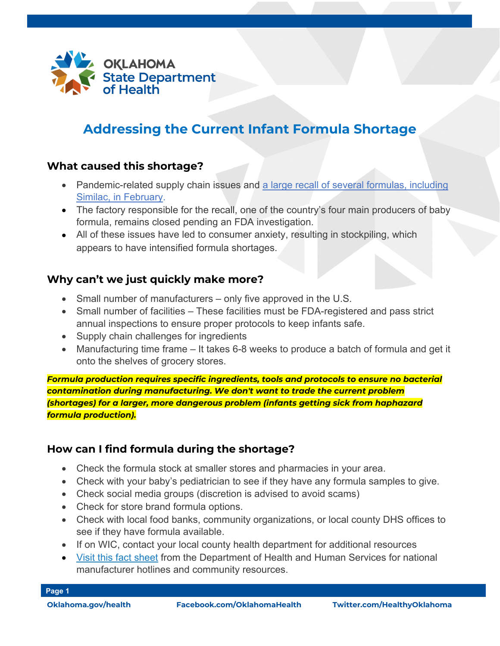

# **Addressing the Current Infant Formula Shortage**

### **What caused this shortage?**

- Pandemic-related supply chain issues and [a large recall of several formulas, including](https://www.npr.org/2022/02/18/1081697742/stop-using-these-baby-formulas-the-fda-says-after-4-infants-are-hospitalized)  [Similac, in February.](https://www.npr.org/2022/02/18/1081697742/stop-using-these-baby-formulas-the-fda-says-after-4-infants-are-hospitalized)
- The factory responsible for the recall, one of the country's four main producers of baby formula, remains closed pending an FDA investigation.
- All of these issues have led to consumer anxiety, resulting in stockpiling, which appears to have intensified formula shortages.

### **Why can't we just quickly make more?**

- Small number of manufacturers only five approved in the U.S.
- Small number of facilities These facilities must be FDA-registered and pass strict annual inspections to ensure proper protocols to keep infants safe.
- Supply chain challenges for ingredients
- Manufacturing time frame It takes 6-8 weeks to produce a batch of formula and get it onto the shelves of grocery stores.

*Formula production requires specific ingredients, tools and protocols to ensure no bacterial contamination during manufacturing. We don't want to trade the current problem (shortages) for a larger, more dangerous problem (infants getting sick from haphazard formula production).*

### **How can I find formula during the shortage?**

- Check the formula stock at smaller stores and pharmacies in your area.
- Check with your baby's pediatrician to see if they have any formula samples to give.
- Check social media groups (discretion is advised to avoid scams)
- Check for store brand formula options.
- Check with local food banks, community organizations, or local county DHS offices to see if they have formula available.
- If on WIC, contact your local county health department for additional resources
- Visit this fact sheet [from the Department of Health and Human Services for national](https://www.hhs.gov/formula/index.html?mc_cid=200285126e&mc_eid=a16cf48b67)  [manufacturer hotlines and community resources.](https://www.hhs.gov/formula/index.html?mc_cid=200285126e&mc_eid=a16cf48b67)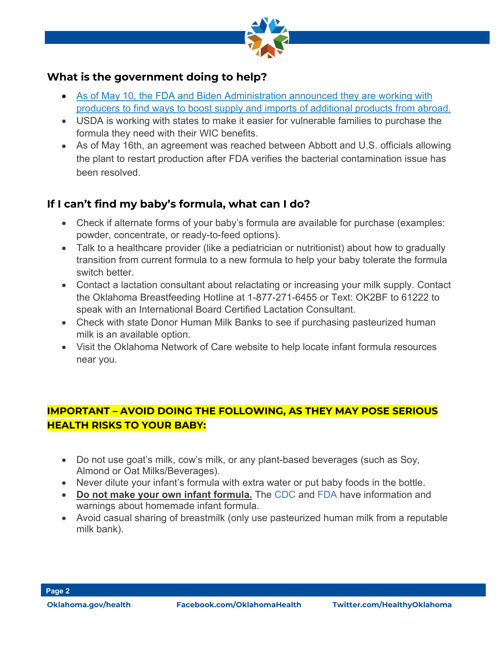

## **What is the government doing to help?**

- [As of May 10, the FDA and Biden Administration announced they are working with](https://www.fda.gov/news-events/press-announcements/fda-takes-important-steps-improve-supply-infant-and-specialty-formula-products)  [producers to find ways to boost supply and imports of additional products from abroad.](https://www.fda.gov/news-events/press-announcements/fda-takes-important-steps-improve-supply-infant-and-specialty-formula-products)
- USDA is working with states to make it easier for vulnerable families to purchase the formula they need with their WIC benefits.
- As of May 16th, an agreement was reached between Abbott and U.S. officials allowing the plant to restart production after FDA verifies the bacterial contamination issue has been resolved.

# **If I can't find my baby's formula, what can I do?**

- Check if alternate forms of your baby's formula are available for purchase (examples: powder, concentrate, or ready-to-feed options).
- Talk to a healthcare provider (like a pediatrician or nutritionist) about how to gradually transition from current formula to a new formula to help your baby tolerate the formula switch better.
- Contact a lactation consultant about relactating or increasing your milk supply. Contact the Oklahoma Breastfeeding Hotline at 1-877-271-6455 or Text: OK2BF to 61222 to speak with an International Board Certified Lactation Consultant.
- Check with state Donor Human Milk Banks to see if purchasing pasteurized human milk is an available option.
- Visit the Oklahoma Network of Care website to help locate infant formula resources near you.

# **IMPORTANT – AVOID DOING THE FOLLOWING, AS THEY MAY POSE SERIOUS HEALTH RISKS TO YOUR BABY:**

- Do not use goat's milk, cow's milk, or any plant-based beverages (such as Soy, Almond or Oat Milks/Beverages).
- Never dilute your infant's formula with extra water or put baby foods in the bottle.
- **Do not make your own infant formula.** The [CDC](https://www.cdc.gov/nutrition/infantandtoddlernutrition/formula-feeding/choosing-an-infant-formula.html#homemade) and [FDA](https://www.fda.gov/food/alerts-advisories-safety-information/fda-advises-parents-and-caregivers-not-make-or-feed-homemade-infant-formula-infants) have information and warnings about homemade infant formula.
- Avoid casual sharing of breastmilk (only use pasteurized human milk from a reputable milk bank).